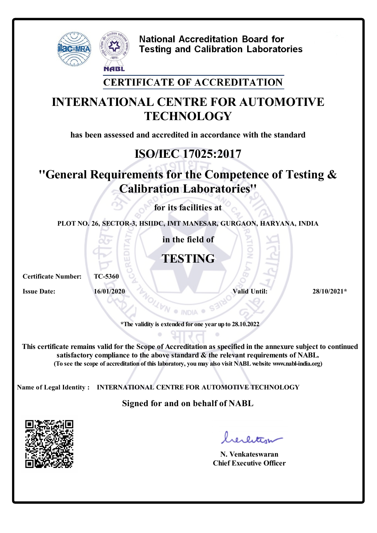

**National Accreditation Board for Testing and Calibration Laboratories** 

#### **CERTIFICATE OF ACCREDITATION**

# **INTERNATIONAL CENTRE FOR AUTOMOTIVE TECHNOLOGY**

**has been assessed and accredited in accordance with the standard**

# **ISO/IEC 17025:2017**

# **''General Requirements for the Competence of Testing & Calibration Laboratories''**

**for its facilities at**

**PLOT NO. 26, SECTOR-3, HSIIDC, IMT MANESAR, GURGAON, HARYANA, INDIA**

**in the field of**

### **TESTING**

**Certificate Number: TC-5360**

**16/01/2020** *Valid Until:* **<b>28/10/2021\* 28/10/2021** 

**\*The validity is extended for one year up to 28.10.2022**

**This certificate remains valid forthe Scope of Accreditation as specified in the annexure subject to continued satisfactory compliance to the above standard & the relevant requirements of NABL. (To see the scope of accreditation of this laboratory, youmay also visit NABLwebsite www.nabl-india.org)**

**Name of Legal Identity : INTERNATIONAL CENTRE FOR AUTOMOTIVE TECHNOLOGY**

#### **Signed for and on behalf of NABL**



**N. Venkateswaran Chief Executive Officer**